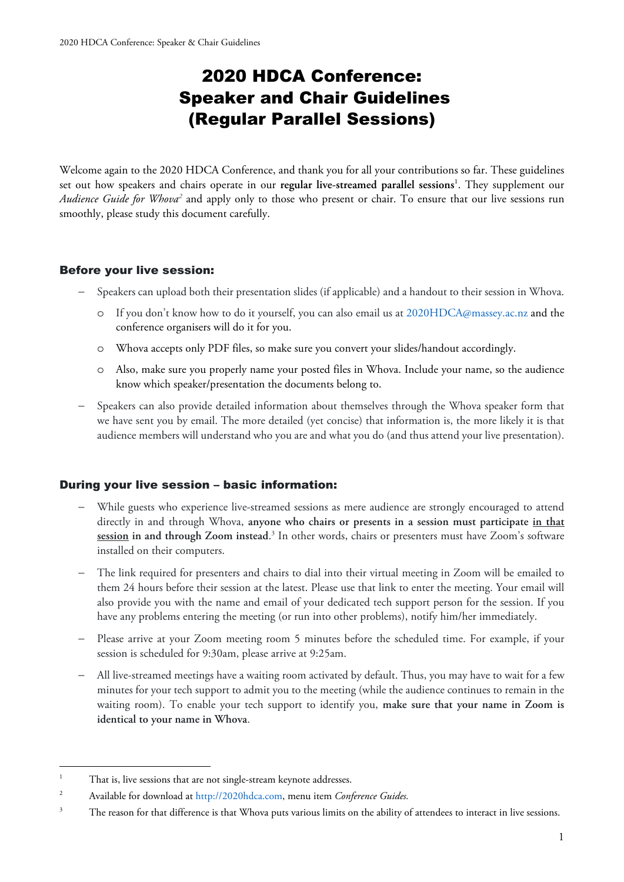# 2020 HDCA Conference: Speaker and Chair Guidelines (Regular Parallel Sessions)

Welcome again to the 2020 HDCA Conference, and thank you for all your contributions so far. These guidelines set out how speakers and chairs operate in our **regular live-streamed parallel sessions**<sup>1</sup>. They supplement our Audience Guide for Whova<sup>2</sup> and apply only to those who present or chair. To ensure that our live sessions run smoothly, please study this document carefully.

# Before your live session:

- − Speakers can upload both their presentation slides (if applicable) and a handout to their session in Whova.
	- o If you don't know how to do it yourself, you can also email us at 2020HDCA@massey.ac.nz and the conference organisers will do it for you.
	- o Whova accepts only PDF files, so make sure you convert your slides/handout accordingly.
	- o Also, make sure you properly name your posted files in Whova. Include your name, so the audience know which speaker/presentation the documents belong to.
- − Speakers can also provide detailed information about themselves through the Whova speaker form that we have sent you by email. The more detailed (yet concise) that information is, the more likely it is that audience members will understand who you are and what you do (and thus attend your live presentation).

# During your live session – basic information:

- While guests who experience live-streamed sessions as mere audience are strongly encouraged to attend directly in and through Whova, **anyone who chairs or presents in a session must participate in that session in and through Zoom instead**. 3 In other words, chairs or presenters must have Zoom's software installed on their computers.
- The link required for presenters and chairs to dial into their virtual meeting in Zoom will be emailed to them 24 hours before their session at the latest. Please use that link to enter the meeting. Your email will also provide you with the name and email of your dedicated tech support person for the session. If you have any problems entering the meeting (or run into other problems), notify him/her immediately.
- − Please arrive at your Zoom meeting room 5 minutes before the scheduled time. For example, if your session is scheduled for 9:30am, please arrive at 9:25am.
- − All live-streamed meetings have a waiting room activated by default. Thus, you may have to wait for a few minutes for your tech support to admit you to the meeting (while the audience continues to remain in the waiting room). To enable your tech support to identify you, **make sure that your name in Zoom is identical to your name in Whova**.

<sup>1</sup> That is, live sessions that are not single-stream keynote addresses.

<sup>2</sup> Available for download at http://2020hdca.com, menu item *Conference Guides.*

<sup>3</sup> The reason for that difference is that Whova puts various limits on the ability of attendees to interact in live sessions.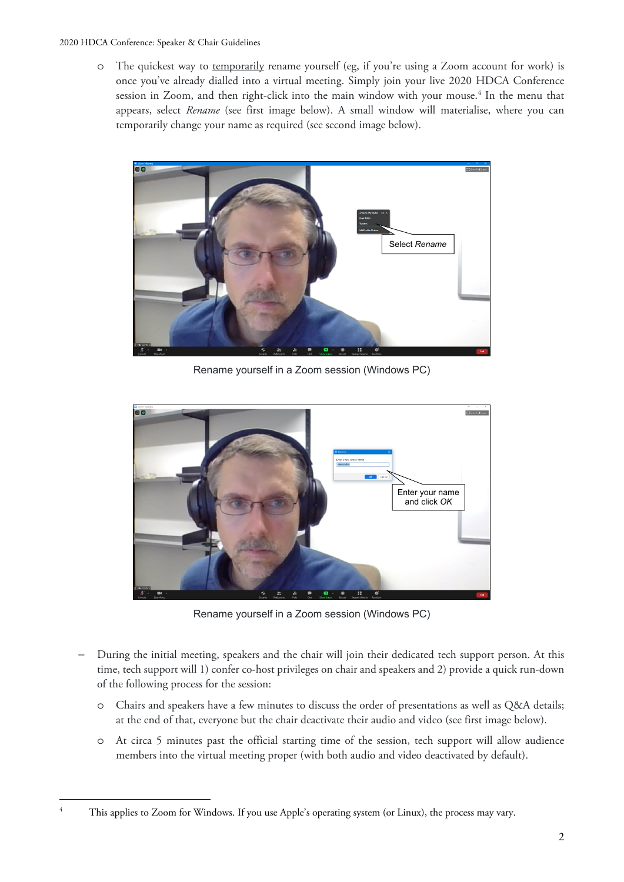#### 2020 HDCA Conference: Speaker & Chair Guidelines

o The quickest way to temporarily rename yourself (eg, if you're using a Zoom account for work) is once you've already dialled into a virtual meeting. Simply join your live 2020 HDCA Conference session in Zoom, and then right-click into the main window with your mouse.<sup>4</sup> In the menu that appears, select *Rename* (see first image below). A small window will materialise, where you can temporarily change your name as required (see second image below).



Rename yourself in a Zoom session (Windows PC)



Rename yourself in a Zoom session (Windows PC)

- − During the initial meeting, speakers and the chair will join their dedicated tech support person. At this time, tech support will 1) confer co-host privileges on chair and speakers and 2) provide a quick run-down of the following process for the session:
	- o Chairs and speakers have a few minutes to discuss the order of presentations as well as Q&A details; at the end of that, everyone but the chair deactivate their audio and video (see first image below).
	- o At circa 5 minutes past the official starting time of the session, tech support will allow audience members into the virtual meeting proper (with both audio and video deactivated by default).

4

This applies to Zoom for Windows. If you use Apple's operating system (or Linux), the process may vary.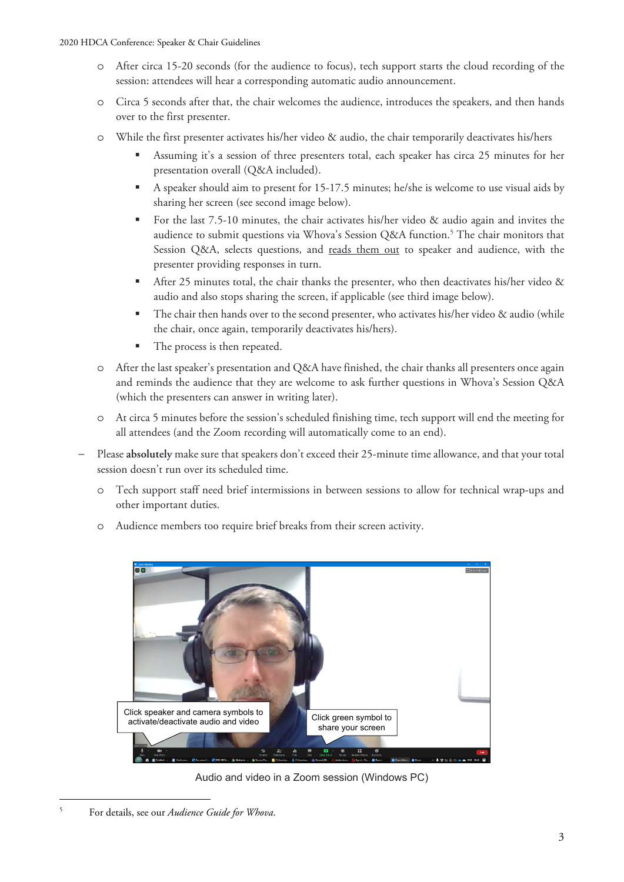- o After circa 15-20 seconds (for the audience to focus), tech support starts the cloud recording of the session: attendees will hear a corresponding automatic audio announcement.
- o Circa 5 seconds after that, the chair welcomes the audience, introduces the speakers, and then hands over to the first presenter.
- o While the first presenter activates his/her video & audio, the chair temporarily deactivates his/hers
	- Assuming it's a session of three presenters total, each speaker has circa 25 minutes for her presentation overall (Q&A included).
	- A speaker should aim to present for 15-17.5 minutes; he/she is welcome to use visual aids by sharing her screen (see second image below).
	- For the last 7.5-10 minutes, the chair activates his/her video & audio again and invites the audience to submit questions via Whova's Session Q&A function.<sup>5</sup> The chair monitors that Session Q&A, selects questions, and reads them out to speaker and audience, with the presenter providing responses in turn.
	- After 25 minutes total, the chair thanks the presenter, who then deactivates his/her video & audio and also stops sharing the screen, if applicable (see third image below).
	- The chair then hands over to the second presenter, who activates his/her video & audio (while the chair, once again, temporarily deactivates his/hers).
	- The process is then repeated.
- o After the last speaker's presentation and Q&A have finished, the chair thanks all presenters once again and reminds the audience that they are welcome to ask further questions in Whova's Session Q&A (which the presenters can answer in writing later).
- o At circa 5 minutes before the session's scheduled finishing time, tech support will end the meeting for all attendees (and the Zoom recording will automatically come to an end).
- − Please **absolutely** make sure that speakers don't exceed their 25-minute time allowance, and that your total session doesn't run over its scheduled time.
	- Tech support staff need brief intermissions in between sessions to allow for technical wrap-ups and other important duties.
	- o Audience members too require brief breaks from their screen activity.



Audio and video in a Zoom session (Windows PC)

5

For details, see our *Audience Guide for Whova*.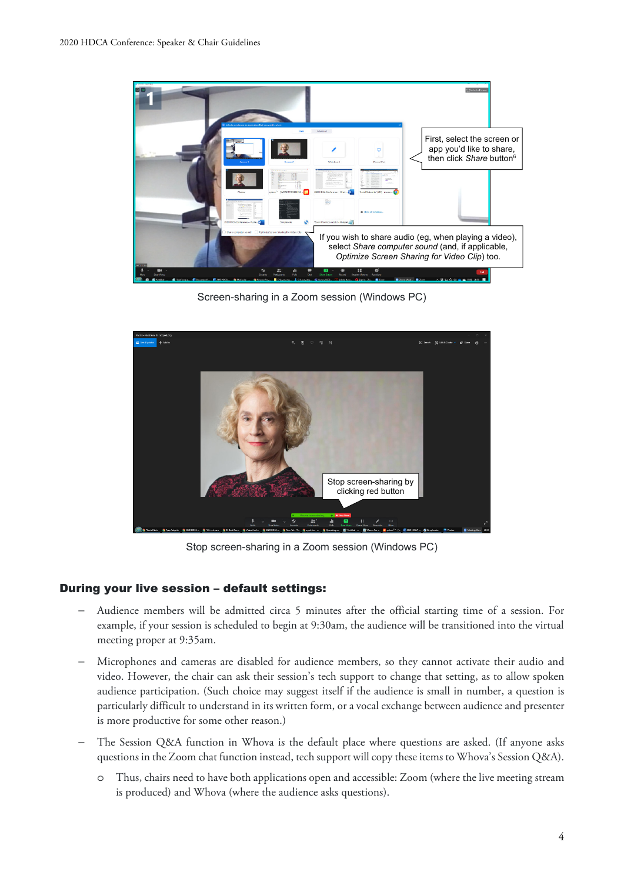

Screen-sharing in a Zoom session (Windows PC)



Stop screen-sharing in a Zoom session (Windows PC)

### During your live session – default settings:

- − Audience members will be admitted circa 5 minutes after the official starting time of a session. For example, if your session is scheduled to begin at 9:30am, the audience will be transitioned into the virtual meeting proper at 9:35am.
- Microphones and cameras are disabled for audience members, so they cannot activate their audio and video. However, the chair can ask their session's tech support to change that setting, as to allow spoken audience participation. (Such choice may suggest itself if the audience is small in number, a question is particularly difficult to understand in its written form, or a vocal exchange between audience and presenter is more productive for some other reason.)
- The Session Q&A function in Whova is the default place where questions are asked. (If anyone asks questions in the Zoom chat function instead, tech support will copy these items to Whova's Session Q&A).
	- o Thus, chairs need to have both applications open and accessible: Zoom (where the live meeting stream is produced) and Whova (where the audience asks questions).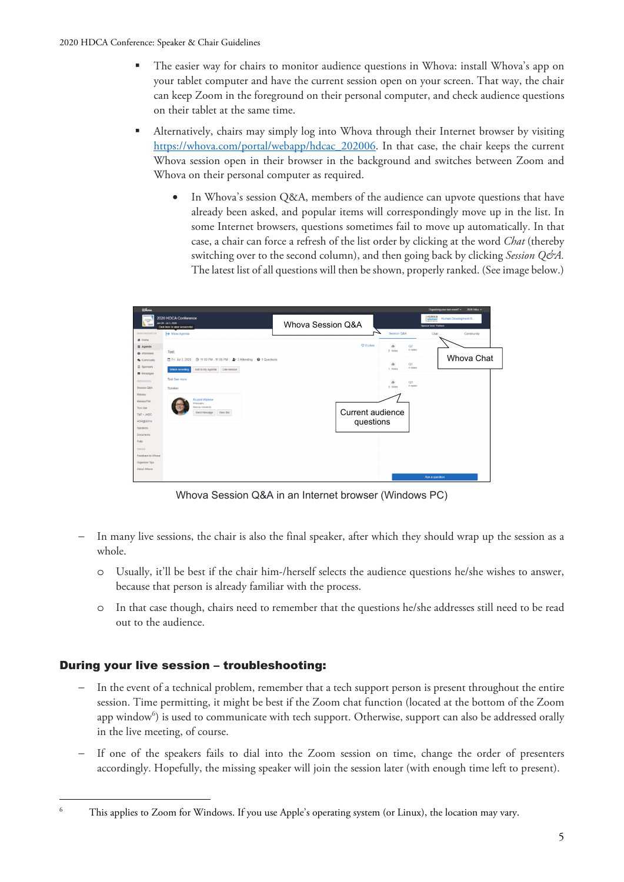- The easier way for chairs to monitor audience questions in Whova: install Whova's app on your tablet computer and have the current session open on your screen. That way, the chair can keep Zoom in the foreground on their personal computer, and check audience questions on their tablet at the same time.
- Alternatively, chairs may simply log into Whova through their Internet browser by visiting https://whova.com/portal/webapp/hdcac\_202006. In that case, the chair keeps the current Whova session open in their browser in the background and switches between Zoom and Whova on their personal computer as required.
	- In Whova's session Q&A, members of the audience can upvote questions that have already been asked, and popular items will correspondingly move up in the list. In some Internet browsers, questions sometimes fail to move up automatically. In that case, a chair can force a refresh of the list order by clicking at the word *Chat* (thereby switching over to the second column), and then going back by clicking *Session Q&A*. The latest list of all questions will then be shown, properly ranked. (See image below.)



Whova Session Q&A in an Internet browser (Windows PC)

- In many live sessions, the chair is also the final speaker, after which they should wrap up the session as a whole.
	- o Usually, it'll be best if the chair him-/herself selects the audience questions he/she wishes to answer, because that person is already familiar with the process.
	- o In that case though, chairs need to remember that the questions he/she addresses still need to be read out to the audience.

# During your live session – troubleshooting:

- In the event of a technical problem, remember that a tech support person is present throughout the entire session. Time permitting, it might be best if the Zoom chat function (located at the bottom of the Zoom app window<sup>6</sup>) is used to communicate with tech support. Otherwise, support can also be addressed orally in the live meeting, of course.
- If one of the speakers fails to dial into the Zoom session on time, change the order of presenters accordingly. Hopefully, the missing speaker will join the session later (with enough time left to present).

<sup>6</sup> This applies to Zoom for Windows. If you use Apple's operating system (or Linux), the location may vary.